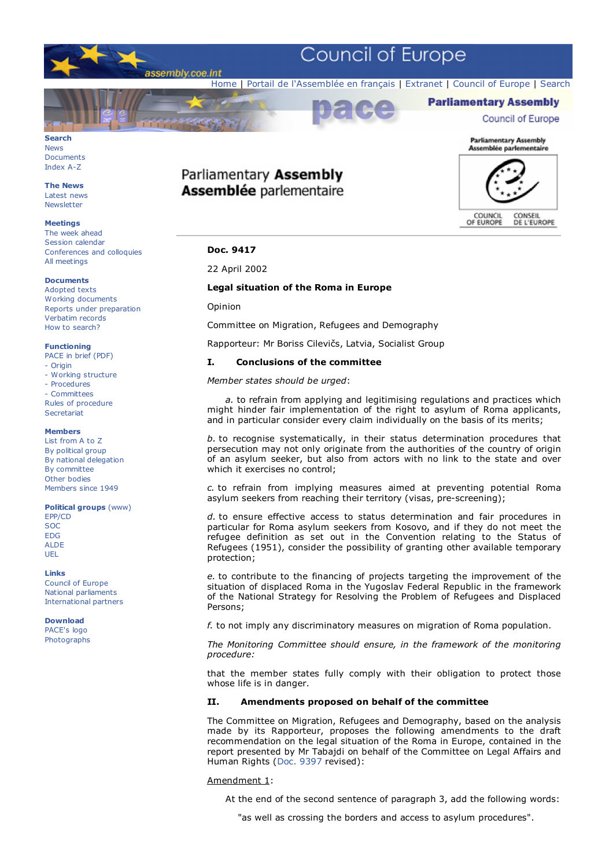

# **Search** News

Documents Index A-Z

**The News** Latest news **Newsletter** 

# **Meetings**

The week ahead Session calendar Conferences and colloquies All meetings

### **Documents**

Adopted texts Working documents Reports under preparation Verbatim records How to search?

#### **Functioning**

- PACE in brief (PDF)
- Origin
- Working structure - Procedures
- Committees

Rules of procedure **Secretariat** 

# **Members**

List from A to Z By political group By national delegation By committee Other bodies Members since 1949

#### **Political groups** (www)

EPP/CD SOC EDG ALDE UEL

#### **Links**

Council of Europe National parliaments International partners

#### **Download** PACE's logo Photographs

# Parliamentary Assembly **Assemblée parlementaire**



COUNCIL<br>OF EUROPE CONSEIL<br>DE L'EUROPE

# **Doc. 9417**

### 22 April 2002

# **Legal situation of the Roma in Europe**

Opinion

Committee on Migration, Refugees and Demography

Rapporteur: Mr Boriss Cilevičs, Latvia, Socialist Group

# **I. Conclusions of the committee**

# *Member states should be urged*:

 *a.* to refrain from applying and legitimising regulations and practices which might hinder fair implementation of the right to asylum of Roma applicants, and in particular consider every claim individually on the basis of its merits;

*b.* to recognise systematically, in their status determination procedures that persecution may not only originate from the authorities of the country of origin of an asylum seeker, but also from actors with no link to the state and over which it exercises no control;

*c.* to refrain from implying measures aimed at preventing potential Roma asylum seekers from reaching their territory (visas, pre-screening);

*d.* to ensure effective access to status determination and fair procedures in particular for Roma asylum seekers from Kosovo, and if they do not meet the refugee definition as set out in the Convention relating to the Status of Refugees (1951), consider the possibility of granting other available temporary protection;

*e.* to contribute to the financing of projects targeting the improvement of the situation of displaced Roma in the Yugoslav Federal Republic in the framework of the National Strategy for Resolving the Problem of Refugees and Displaced Persons;

*f.* to not imply any discriminatory measures on migration of Roma population.

*The Monitoring Committee should ensure, in the framework of the monitoring procedure:*

that the member states fully comply with their obligation to protect those whose life is in danger.

# **II. Amendments proposed on behalf of the committee**

The Committee on Migration, Refugees and Demography, based on the analysis made by its Rapporteur, proposes the following amendments to the draft recommendation on the legal situation of the Roma in Europe, contained in the report presented by Mr Tabajdi on behalf of the Committee on Legal Affairs and Human Rights (Doc. 9397 revised):

#### Amendment 1:

At the end of the second sentence of paragraph 3, add the following words:

"as well as crossing the borders and access to asylum procedures".

# **Parliamentary Assembly Council of Europe**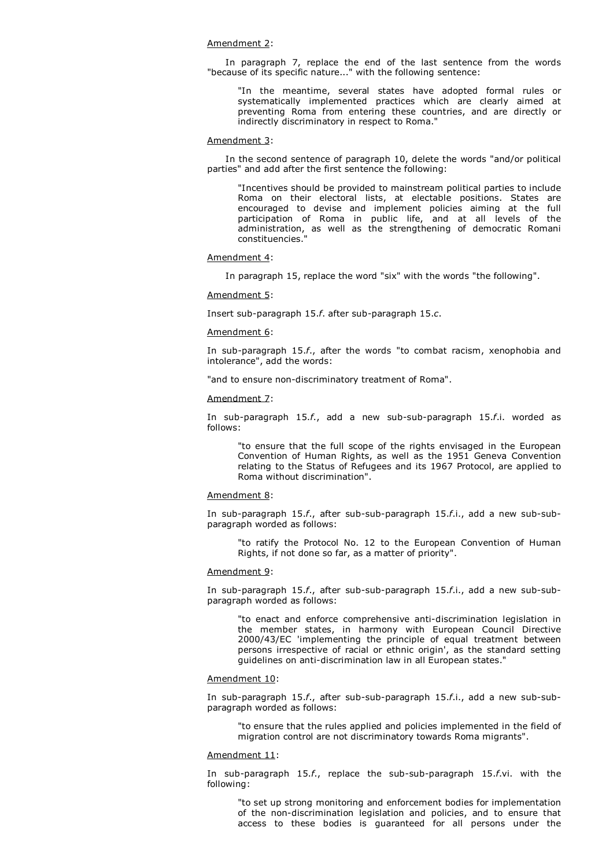#### Amendment 2:

 In paragraph 7, replace the end of the last sentence from the words "because of its specific nature..." with the following sentence:

"In the meantime, several states have adopted formal rules or systematically implemented practices which are clearly aimed at preventing Roma from entering these countries, and are directly or indirectly discriminatory in respect to Roma."

#### Amendment 3:

 In the second sentence of paragraph 10, delete the words "and/or political parties" and add after the first sentence the following:

"Incentives should be provided to mainstream political parties to include Roma on their electoral lists, at electable positions. States are encouraged to devise and implement policies aiming at the full participation of Roma in public life, and at all levels of the administration, as well as the strengthening of democratic Romani constituencies."

#### Amendment 4:

In paragraph 15, replace the word "six" with the words "the following".

#### Amendment 5:

Insert sub-paragraph 15.*f*. after sub-paragraph 15.*c*.

## Amendment 6:

In sub-paragraph 15.*f*., after the words "to combat racism, xenophobia and intolerance", add the words:

"and to ensure non-discriminatory treatment of Roma".

#### Amendment 7:

In sub-paragraph 15.*f*., add a new sub-sub-paragraph 15.*f*.i. worded as follows:

"to ensure that the full scope of the rights envisaged in the European Convention of Human Rights, as well as the 1951 Geneva Convention relating to the Status of Refugees and its 1967 Protocol, are applied to Roma without discrimination".

## Amendment 8:

In sub-paragraph 15.*f*., after sub-sub-paragraph 15.*f*.i., add a new sub-subparagraph worded as follows:

"to ratify the Protocol No. 12 to the European Convention of Human Rights, if not done so far, as a matter of priority".

#### Amendment 9:

In sub-paragraph 15.*f*., after sub-sub-paragraph 15.*f*.i., add a new sub-subparagraph worded as follows:

"to enact and enforce comprehensive anti-discrimination legislation in the member states, in harmony with European Council Directive 2000/43/EC 'implementing the principle of equal treatment between persons irrespective of racial or ethnic origin', as the standard setting guidelines on anti-discrimination law in all European states."

#### Amendment 10:

In sub-paragraph 15.*f*., after sub-sub-paragraph 15.*f*.i., add a new sub-subparagraph worded as follows:

"to ensure that the rules applied and policies implemented in the field of migration control are not discriminatory towards Roma migrants".

#### Amendment 11:

In sub-paragraph 15.*f*., replace the sub-sub-paragraph 15.*f*.vi. with the following:

"to set up strong monitoring and enforcement bodies for implementation of the non-discrimination legislation and policies, and to ensure that access to these bodies is guaranteed for all persons under the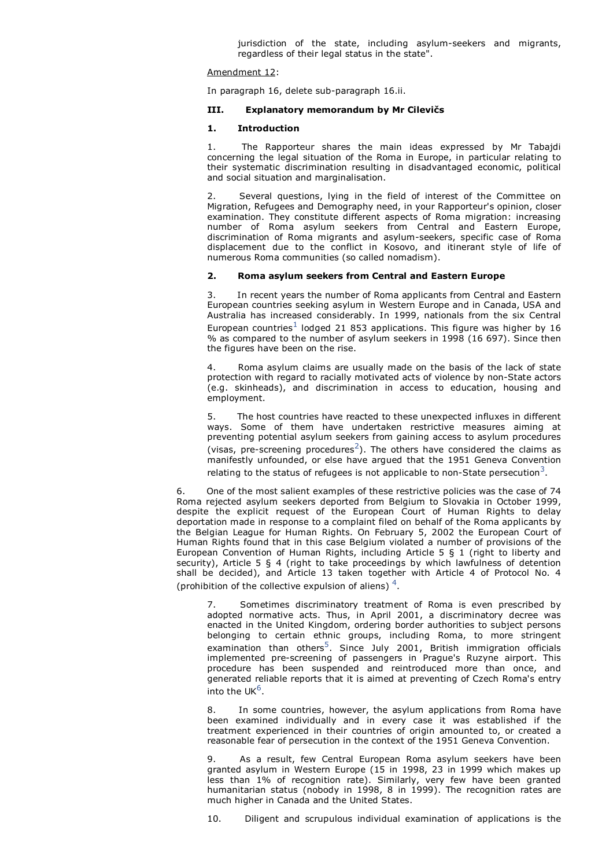jurisdiction of the state, including asylum-seekers and migrants, regardless of their legal status in the state".

# Amendment 12:

In paragraph 16, delete sub-paragraph 16.ii.

## **III. Explanatory memorandum by Mr Cilevičs**

# **1. Introduction**

1. The Rapporteur shares the main ideas expressed by Mr Tabajdi concerning the legal situation of the Roma in Europe, in particular relating to their systematic discrimination resulting in disadvantaged economic, political and social situation and marginalisation.

Several questions, lying in the field of interest of the Committee on Migration, Refugees and Demography need, in your Rapporteur's opinion, closer examination. They constitute different aspects of Roma migration: increasing number of Roma asylum seekers from Central and Eastern Europe, discrimination of Roma migrants and asylum-seekers, specific case of Roma displacement due to the conflict in Kosovo, and itinerant style of life of numerous Roma communities (so called nomadism).

# **2. Roma asylum seekers from Central and Eastern Europe**

3. In recent years the number of Roma applicants from Central and Eastern European countries seeking asylum in Western Europe and in Canada, USA and Australia has increased considerably. In 1999, nationals from the six Central European countries $^1$  lodged 21 853 applications. This figure was higher by 16 % as compared to the number of asylum seekers in 1998 (16 697). Since then the figures have been on the rise.

4. Roma asylum claims are usually made on the basis of the lack of state protection with regard to racially motivated acts of violence by non-State actors (e.g. skinheads), and discrimination in access to education, housing and employment.

The host countries have reacted to these unexpected influxes in different ways. Some of them have undertaken restrictive measures aiming at preventing potential asylum seekers from gaining access to asylum procedures (visas, pre-screening procedures<sup>2</sup>). The others have considered the claims as manifestly unfounded, or else have argued that the 1951 Geneva Convention relating to the status of refugees is not applicable to non-State persecution<sup>3</sup>.

6. One of the most salient examples of these restrictive policies was the case of 74 Roma rejected asylum seekers deported from Belgium to Slovakia in October 1999, despite the explicit request of the European Court of Human Rights to delay deportation made in response to a complaint filed on behalf of the Roma applicants by the Belgian League for Human Rights. On February 5, 2002 the European Court of Human Rights found that in this case Belgium violated a number of provisions of the European Convention of Human Rights, including Article 5 § 1 (right to liberty and security), Article 5 § 4 (right to take proceedings by which lawfulness of detention shall be decided), and Article 13 taken together with Article 4 of Protocol No. 4 (prohibition of the collective expulsion of aliens)  $4$ .

7. Sometimes discriminatory treatment of Roma is even prescribed by adopted normative acts. Thus, in April 2001, a discriminatory decree was enacted in the United Kingdom, ordering border authorities to subject persons belonging to certain ethnic groups, including Roma, to more stringent examination than others<sup>5</sup>. Since July 2001, British immigration officials implemented pre-screening of passengers in Prague's Ruzyne airport. This procedure has been suspended and reintroduced more than once, and generated reliable reports that it is aimed at preventing of Czech Roma's entry into the UK $^6$ .

8. In some countries, however, the asylum applications from Roma have been examined individually and in every case it was established if the treatment experienced in their countries of origin amounted to, or created a reasonable fear of persecution in the context of the 1951 Geneva Convention.

9. As a result, few Central European Roma asylum seekers have been granted asylum in Western Europe (15 in 1998, 23 in 1999 which makes up less than 1% of recognition rate). Similarly, very few have been granted humanitarian status (nobody in 1998, 8 in 1999). The recognition rates are much higher in Canada and the United States.

10. Diligent and scrupulous individual examination of applications is the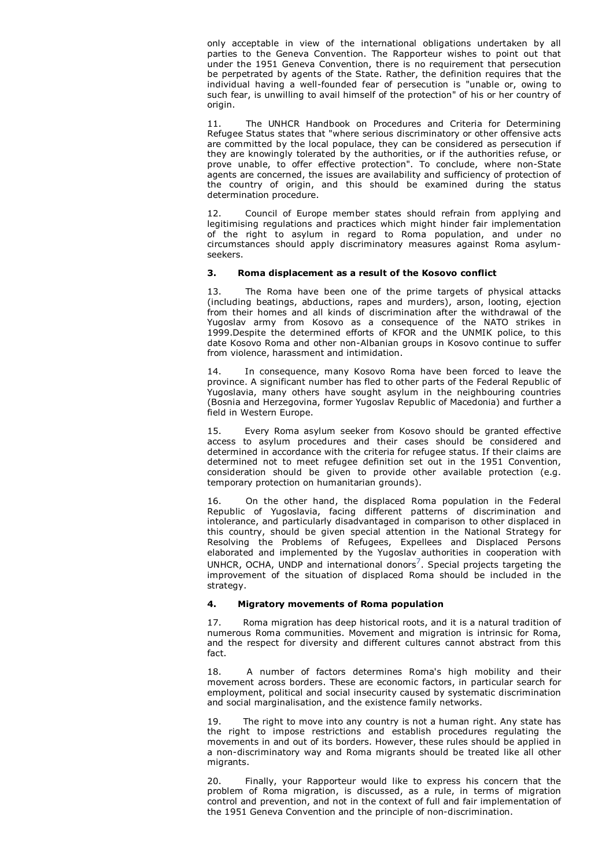only acceptable in view of the international obligations undertaken by all parties to the Geneva Convention. The Rapporteur wishes to point out that under the 1951 Geneva Convention, there is no requirement that persecution be perpetrated by agents of the State. Rather, the definition requires that the individual having a well-founded fear of persecution is "unable or, owing to such fear, is unwilling to avail himself of the protection" of his or her country of origin.

11. The UNHCR Handbook on Procedures and Criteria for Determining Refugee Status states that "where serious discriminatory or other offensive acts are committed by the local populace, they can be considered as persecution if they are knowingly tolerated by the authorities, or if the authorities refuse, or prove unable, to offer effective protection". To conclude, where non-State agents are concerned, the issues are availability and sufficiency of protection of the country of origin, and this should be examined during the status determination procedure.

12. Council of Europe member states should refrain from applying and legitimising regulations and practices which might hinder fair implementation of the right to asylum in regard to Roma population, and under no circumstances should apply discriminatory measures against Roma asylumseekers.

# **3. Roma displacement as a result of the Kosovo conflict**

13. The Roma have been one of the prime targets of physical attacks (including beatings, abductions, rapes and murders), arson, looting, ejection from their homes and all kinds of discrimination after the withdrawal of the Yugoslav army from Kosovo as a consequence of the NATO strikes in 1999.Despite the determined efforts of KFOR and the UNMIK police, to this date Kosovo Roma and other non-Albanian groups in Kosovo continue to suffer from violence, harassment and intimidation.

14. In consequence, many Kosovo Roma have been forced to leave the province. A significant number has fled to other parts of the Federal Republic of Yugoslavia, many others have sought asylum in the neighbouring countries (Bosnia and Herzegovina, former Yugoslav Republic of Macedonia) and further a field in Western Europe.

15. Every Roma asylum seeker from Kosovo should be granted effective access to asylum procedures and their cases should be considered and determined in accordance with the criteria for refugee status. If their claims are determined not to meet refugee definition set out in the 1951 Convention, consideration should be given to provide other available protection (e.g. temporary protection on humanitarian grounds).

16. On the other hand, the displaced Roma population in the Federal Republic of Yugoslavia, facing different patterns of discrimination and intolerance, and particularly disadvantaged in comparison to other displaced in this country, should be given special attention in the National Strategy for Resolving the Problems of Refugees, Expellees and Displaced Persons elaborated and implemented by the Yugoslav authorities in cooperation with UNHCR, OCHA, UNDP and international donors<sup>7</sup>. Special projects targeting the improvement of the situation of displaced Roma should be included in the strategy.

# **4. Migratory movements of Roma population**

17. Roma migration has deep historical roots, and it is a natural tradition of numerous Roma communities. Movement and migration is intrinsic for Roma, and the respect for diversity and different cultures cannot abstract from this fact.

18. A number of factors determines Roma's high mobility and their movement across borders. These are economic factors, in particular search for employment, political and social insecurity caused by systematic discrimination and social marginalisation, and the existence family networks.

19. The right to move into any country is not a human right. Any state has the right to impose restrictions and establish procedures regulating the movements in and out of its borders. However, these rules should be applied in a non-discriminatory way and Roma migrants should be treated like all other migrants.

20. Finally, your Rapporteur would like to express his concern that the problem of Roma migration, is discussed, as a rule, in terms of migration control and prevention, and not in the context of full and fair implementation of the 1951 Geneva Convention and the principle of non-discrimination.